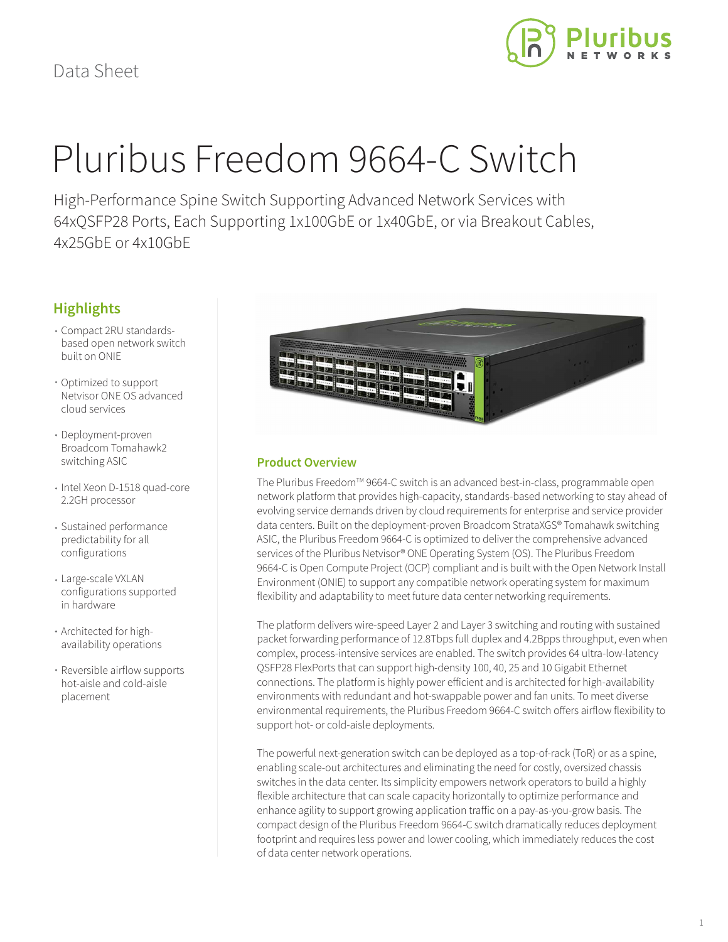

# Pluribus Freedom 9664-C Switch

High-Performance Spine Switch Supporting Advanced Network Services with 64xQSFP28 Ports, Each Supporting 1x100GbE or 1x40GbE, or via Breakout Cables, 4x25GbE or 4x10GbE

# **Highlights**

- Compact 2RU standardsbased open network switch built on ONIE
- Optimized to support Netvisor ONE OS advanced cloud services
- Deployment-proven Broadcom Tomahawk2 switching ASIC
- Intel Xeon D-1518 quad-core 2.2GH processor
- Sustained performance predictability for all configurations
- Large-scale VXLAN configurations supported in hardware
- Architected for highavailability operations
- Reversible airflow supports hot-aisle and cold-aisle placement



## **Product Overview**

The Pluribus Freedom™ 9664-C switch is an advanced best-in-class, programmable open network platform that provides high-capacity, standards-based networking to stay ahead of evolving service demands driven by cloud requirements for enterprise and service provider data centers. Built on the deployment-proven Broadcom StrataXGS® Tomahawk switching ASIC, the Pluribus Freedom 9664-C is optimized to deliver the comprehensive advanced services of the Pluribus Netvisor® ONE Operating System (OS). The Pluribus Freedom 9664-C is Open Compute Project (OCP) compliant and is built with the Open Network Install Environment (ONIE) to support any compatible network operating system for maximum flexibility and adaptability to meet future data center networking requirements.

The platform delivers wire-speed Layer 2 and Layer 3 switching and routing with sustained packet forwarding performance of 12.8Tbps full duplex and 4.2Bpps throughput, even when complex, process-intensive services are enabled. The switch provides 64 ultra-low-latency QSFP28 FlexPorts that can support high-density 100, 40, 25 and 10 Gigabit Ethernet connections. The platform is highly power efficient and is architected for high-availability environments with redundant and hot-swappable power and fan units. To meet diverse environmental requirements, the Pluribus Freedom 9664-C switch offers airflow flexibility to support hot- or cold-aisle deployments.

The powerful next-generation switch can be deployed as a top-of-rack (ToR) or as a spine, enabling scale-out architectures and eliminating the need for costly, oversized chassis switches in the data center. Its simplicity empowers network operators to build a highly flexible architecture that can scale capacity horizontally to optimize performance and enhance agility to support growing application traffic on a pay-as-you-grow basis. The compact design of the Pluribus Freedom 9664-C switch dramatically reduces deployment footprint and requires less power and lower cooling, which immediately reduces the cost of data center network operations.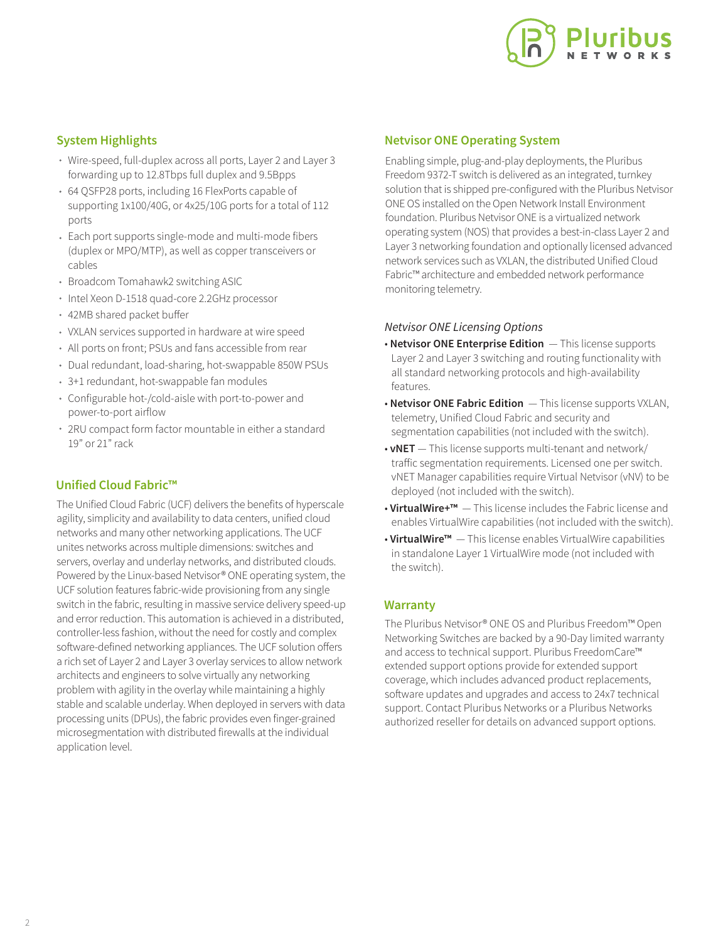

## **System Highlights**

- Wire-speed, full-duplex across all ports, Layer 2 and Layer 3 forwarding up to 12.8Tbps full duplex and 9.5Bpps
- 64 QSFP28 ports, including 16 FlexPorts capable of supporting 1x100/40G, or 4x25/10G ports for a total of 112 ports
- Each port supports single-mode and multi-mode fibers (duplex or MPO/MTP), as well as copper transceivers or cables
- Broadcom Tomahawk2 switching ASIC
- Intel Xeon D-1518 quad-core 2.2GHz processor
- 42MB shared packet buffer
- VXLAN services supported in hardware at wire speed
- All ports on front; PSUs and fans accessible from rear
- Dual redundant, load-sharing, hot-swappable 850W PSUs
- 3+1 redundant, hot-swappable fan modules
- Configurable hot-/cold-aisle with port-to-power and power-to-port airflow
- 2RU compact form factor mountable in either a standard 19" or 21" rack

## **Unified Cloud Fabric™**

The Unified Cloud Fabric (UCF) delivers the benefits of hyperscale agility, simplicity and availability to data centers, unified cloud networks and many other networking applications. The UCF unites networks across multiple dimensions: switches and servers, overlay and underlay networks, and distributed clouds. Powered by the Linux-based Netvisor® ONE operating system, the UCF solution features fabric-wide provisioning from any single switch in the fabric, resulting in massive service delivery speed-up and error reduction. This automation is achieved in a distributed, controller-less fashion, without the need for costly and complex software-defined networking appliances. The UCF solution offers a rich set of Layer 2 and Layer 3 overlay services to allow network architects and engineers to solve virtually any networking problem with agility in the overlay while maintaining a highly stable and scalable underlay. When deployed in servers with data processing units (DPUs), the fabric provides even finger-grained microsegmentation with distributed firewalls at the individual application level.

## **Netvisor ONE Operating System**

Enabling simple, plug-and-play deployments, the Pluribus Freedom 9372-T switch is delivered as an integrated, turnkey solution that is shipped pre-configured with the Pluribus Netvisor ONE OS installed on the Open Network Install Environment foundation. Pluribus Netvisor ONE is a virtualized network operating system (NOS) that provides a best-in-class Layer 2 and Layer 3 networking foundation and optionally licensed advanced network services such as VXLAN, the distributed Unified Cloud Fabric™ architecture and embedded network performance monitoring telemetry.

### *Netvisor ONE Licensing Options*

- **Netvisor ONE Enterprise Edition**  This license supports Layer 2 and Layer 3 switching and routing functionality with all standard networking protocols and high-availability features.
- **Netvisor ONE Fabric Edition**  This license supports VXLAN, telemetry, Unified Cloud Fabric and security and segmentation capabilities (not included with the switch).
- **vNET**  This license supports multi-tenant and network/ traffic segmentation requirements. Licensed one per switch. vNET Manager capabilities require Virtual Netvisor (vNV) to be deployed (not included with the switch).
- **VirtualWire+™**  This license includes the Fabric license and enables VirtualWire capabilities (not included with the switch).
- **VirtualWire™**  This license enables VirtualWire capabilities in standalone Layer 1 VirtualWire mode (not included with the switch).

## **Warranty**

The Pluribus Netvisor® ONE OS and Pluribus Freedom™ Open Networking Switches are backed by a 90-Day limited warranty and access to technical support. Pluribus FreedomCare™ extended support options provide for extended support coverage, which includes advanced product replacements, software updates and upgrades and access to 24x7 technical support. Contact Pluribus Networks or a Pluribus Networks authorized reseller for details on advanced support options.